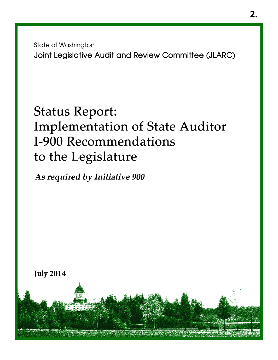**State of Washington** Joint Legislative Audit and Review Committee (JLARC)

# **Status Report: Implementation of State Auditor** I-900 Recommendations to the Legislature

As required by Initiative 900

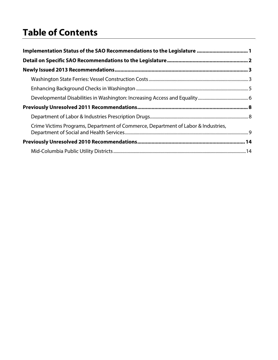# **Table of Contents**

| Implementation Status of the SAO Recommendations to the Legislature  1            |  |
|-----------------------------------------------------------------------------------|--|
|                                                                                   |  |
|                                                                                   |  |
|                                                                                   |  |
|                                                                                   |  |
|                                                                                   |  |
|                                                                                   |  |
|                                                                                   |  |
| Crime Victims Programs, Department of Commerce, Department of Labor & Industries, |  |
|                                                                                   |  |
|                                                                                   |  |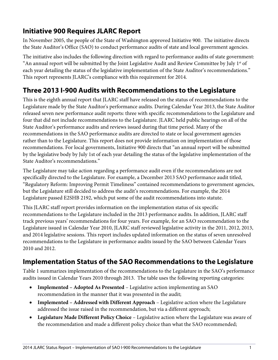# <span id="page-2-0"></span>**Initiative 900 Requires JLARC Report**

In November 2005, the people of the State of Washington approved Initiative 900. The initiative directs the State Auditor's Office (SAO) to conduct performance audits of state and local government agencies.

The initiative also includes the following direction with regard to performance audits of state government: "An annual report will be submitted by the Joint Legislative Audit and Review Committee by July  $1<sup>st</sup>$  of each year detailing the status of the legislative implementation of the State Auditor's recommendations." This report represents JLARC's compliance with this requirement for 2014.

# **Three 2013 I-900 Audits with Recommendations to the Legislature**

This is the eighth annual report that JLARC staff have released on the status of recommendations to the Legislature made by the State Auditor's performance audits. During Calendar Year 2013, the State Auditor released seven new performance audit reports: three with specific recommendations to the Legislature and four that did not include recommendations to the Legislature. JLARC held public hearings on all of the State Auditor's performance audits and reviews issued during that time period. Many of the recommendations in the SAO performance audits are directed to state or local government agencies rather than to the Legislature. This report does not provide information on implementation of those recommendations. For local governments, Initiative 900 directs that "an annual report will be submitted by the legislative body by July 1st of each year detailing the status of the legislative implementation of the State Auditor's recommendations."

The Legislature may take action regarding a performance audit even if the recommendations are not specifically directed to the Legislature. For example, a December 2013 SAO performance audit titled, "Regulatory Reform: Improving Permit Timeliness" contained recommendations to government agencies, but the Legislature still decided to address the audit's recommendations. For example, the 2014 Legislature passed E2SHB 2192, which put some of the audit recommendations into statute.

This JLARC staff report provides information on the implementation status of six specific recommendations to the Legislature included in the 2013 performance audits. In addition, JLARC staff track previous years' recommendations for four years. For example, for an SAO recommendation to the Legislature issued in Calendar Year 2010, JLARC staff reviewed legislative activity in the 2011, 2012, 2013, and 2014 legislative sessions. This report includes updated information on the status of seven unresolved recommendations to the Legislature in performance audits issued by the SAO between Calendar Years 2010 and 2012.

## **Implementation Status of the SAO Recommendations to the Legislature**

Table 1 summarizes implementation of the recommendations to the Legislature in the SAO's performance audits issued in Calendar Years 2010 through 2013. The table uses the following reporting categories:

- **Implemented Adopted As Presented** Legislative action implementing an SAO recommendation in the manner that it was presented in the audit;
- **Implemented Addressed with Different Approach** Legislative action where the Legislature addressed the issue raised in the recommendation, but via a different approach;
- **Legislature Made Different Policy Choice** Legislative action where the Legislature was aware of the recommendation and made a different policy choice than what the SAO recommended;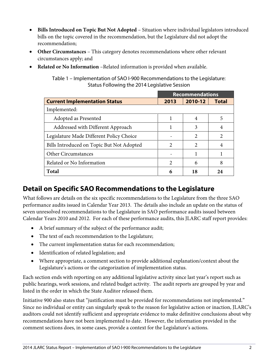- <span id="page-3-0"></span>• **Bills Introduced on Topic But Not Adopted** – Situation where individual legislators introduced bills on the topic covered in the recommendation, but the Legislature did not adopt the recommendation;
- **Other Circumstances** This category denotes recommendations where other relevant circumstances apply; and
- **Related or No Information** –Related information is provided when available.

Table 1 – Implementation of SAO I-900 Recommendations to the Legislature: Status Following the 2014 Legislative Session

|                                           |                             | <b>Recommendations</b>      |              |
|-------------------------------------------|-----------------------------|-----------------------------|--------------|
| <b>Current Implementation Status</b>      | 2013                        | 2010-12                     | <b>Total</b> |
| Implemented:                              |                             |                             |              |
| Adopted as Presented                      |                             | $\overline{4}$              | 5            |
| Addressed with Different Approach         |                             | 3                           | 4            |
| Legislature Made Different Policy Choice  |                             | 2                           | 2            |
| Bills Introduced on Topic But Not Adopted | $\mathcal{L}$               | $\mathcal{D}_{\mathcal{L}}$ | 4            |
| <b>Other Circumstances</b>                |                             |                             |              |
| Related or No Information                 | $\mathcal{D}_{\mathcal{L}}$ | 6                           | 8            |
| <b>Total</b>                              | 6                           | 18                          | 24           |

## **Detail on Specific SAO Recommendations to the Legislature**

What follows are details on the six specific recommendations to the Legislature from the three SAO performance audits issued in Calendar Year 2013. The details also include an update on the status of seven unresolved recommendations to the Legislature in SAO performance audits issued between Calendar Years 2010 and 2012. For each of these performance audits, this JLARC staff report provides:

- A brief summary of the subject of the performance audit;
- The text of each recommendation to the Legislature;
- The current implementation status for each recommendation;
- Identification of related legislation; and
- Where appropriate, a comment section to provide additional explanation/context about the Legislature's actions or the categorization of implementation status.

Each section ends with reporting on any additional legislative activity since last year's report such as public hearings, work sessions, and related budget activity. The audit reports are grouped by year and listed in the order in which the State Auditor released them.

Initiative 900 also states that "justification must be provided for recommendations not implemented." Since no individual or entity can singularly speak to the reason for legislative action or inaction, JLARC's auditors could not identify sufficient and appropriate evidence to make definitive conclusions about why recommendations have not been implemented to date. However, the information provided in the comment sections does, in some cases, provide a context for the Legislature's actions.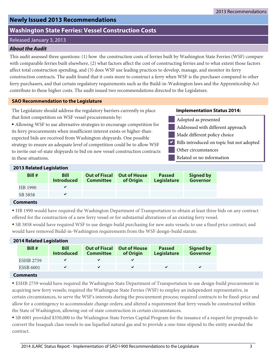## <span id="page-4-0"></span>**Newly Issued 2013 Recommendations**

## **Washington State Ferries: Vessel Construction Costs**

## Released January 3, 2013

## **About the Audit**

This audit assessed three questions: (1) how the construction costs of ferries built by Washington State Ferries (WSF) compare with comparable ferries built elsewhere, (2) what factors affect the cost of constructing ferries and to what extent those factors affect total construction spending, and (3) does WSF use leading practices to develop, manage, and monitor its ferry construction contracts. The audit found that it costs more to construct a ferry when WSF is the purchaser compared to other ferry purchasers, and that certain regulatory requirements such as the Build-in-Washington laws and the Apprenticeship Act contribute to these higher costs. The audit issued two recommendations directed to the Legislature.

## **SAO Recommendation to the Legislature**

The Legislature should address the regulatory barriers currently in place that limit competition on WSF vessel procurements by:

⦁ Allowing WSF to use alternative strategies to encourage competition for its ferry procurements when insufficient interest exists or higher-thanexpected bids are received from Washington shipyards. One possible strategy to ensure an adequate level of competition could be to allow WSF to invite out-of-state shipyards to bid on new vessel construction contracts in these situations.

#### **Implementation Status 2014:**

- Adopted as presented
- Addressed with different approach
- Made different policy choice
- Bills introduced on topic but not adopted  $\blacktriangledown$
- Other circumstances
- Related or no information

## **2013 Related Legislation**

| Bill #          | <b>Bill</b><br><b>Introduced</b> | <b>Committee</b> | <b>Out of Fiscal Out of House</b><br>of Origin | <b>Passed</b><br>Legislature | <b>Signed by</b><br><b>Governor</b> |
|-----------------|----------------------------------|------------------|------------------------------------------------|------------------------------|-------------------------------------|
| HB 1990         | $\checkmark$                     |                  |                                                |                              |                                     |
| SB 5858         | $\checkmark$                     |                  |                                                |                              |                                     |
| <b>Comments</b> |                                  |                  |                                                |                              |                                     |

⦁ HB 1990 would have required the Washington Department of Transportation to obtain at least three bids on any contract offered for the construction of a new ferry vessel or for substantial alterations of an existing ferry vessel.

⦁ SB 5858 would have required WSF to use design-build purchasing for new auto vessels; to use a fixed price contract; and would have removed Build-in-Washington requirements from the WSF design-build statute.

## **2014 Related Legislation**

| Bill#            | <b>Bill</b><br><b>Introduced</b> | <b>Committee</b> | <b>Out of Fiscal Out of House</b><br>of Origin | <b>Passed</b><br>Legislature | <b>Signed by</b><br><b>Governor</b> |  |  |  |
|------------------|----------------------------------|------------------|------------------------------------------------|------------------------------|-------------------------------------|--|--|--|
| <b>ESHB 2759</b> |                                  |                  |                                                |                              |                                     |  |  |  |
| <b>ESSB 6001</b> |                                  |                  |                                                |                              |                                     |  |  |  |
|                  |                                  |                  |                                                |                              |                                     |  |  |  |

## **Comments**

⦁ ESHB 2759 would have required the Washington State Department of Transportation to use design-build procurement in acquiring new ferry vessels; required the Washington State Ferries (WSF) to employ an independent representative, in certain circumstances, to serve the WSF's interests during the procurement process; required contracts to be fixed-price and allow for a contingency to accommodate change orders; and altered a requirement that ferry vessels be constructed within the State of Washington, allowing out-of-state construction in certain circumstances.

⦁ SB 6001 provided \$350,000 to the Washington State Ferries Capital Program for the issuance of a request for proposals to convert the Issaquah class vessels to use liquefied natural gas and to provide a one-time stipend to the entity awarded the contract.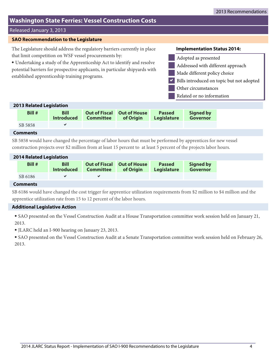## **Washington State Ferries: Vessel Construction Costs**

## Released January 3, 2013

#### **SAO Recommendation to the Legislature**

The Legislature should address the regulatory barriers currently in place that limit competition on WSF vessel procurements by:

⦁ Undertaking a study of the Apprenticeship Act to identify and resolve potential barriers for prospective applicants, in particular shipyards with established apprenticeship training programs.

#### **Implementation Status 2014:**



## **2013 Related Legislation**

| Bill#           | <b>Bill</b><br><b>Introduced</b> | <b>Committee</b> | <b>Out of Fiscal Out of House</b><br>of Origin | <b>Passed</b><br><b>Legislature</b> | <b>Signed by</b><br><b>Governor</b> |
|-----------------|----------------------------------|------------------|------------------------------------------------|-------------------------------------|-------------------------------------|
| SB 5858         |                                  |                  |                                                |                                     |                                     |
| <b>Comments</b> |                                  |                  |                                                |                                     |                                     |

## SB 5858 would have changed the percentage of labor hours that must be performed by apprentices for new vessel construction projects over \$2 million from at least 15 percent to at least 5 percent of the projects labor hours.

| <b>2014 Related Legislation</b> |                                  |           |                                                |                                     |                                     |  |  |  |
|---------------------------------|----------------------------------|-----------|------------------------------------------------|-------------------------------------|-------------------------------------|--|--|--|
| Bill #                          | <b>Bill</b><br><b>Introduced</b> | Committee | <b>Out of Fiscal Out of House</b><br>of Origin | <b>Passed</b><br><b>Legislature</b> | <b>Signed by</b><br><b>Governor</b> |  |  |  |
| SB 6186                         |                                  |           |                                                |                                     |                                     |  |  |  |

## **Comments**

SB 6186 would have changed the cost trigger for apprentice utilization requirements from \$2 million to \$4 million and the apprentice utilization rate from 15 to 12 percent of the labor hours.

#### **Additional Legislative Action**

⦁ SAO presented on the Vessel Construction Audit at a House Transportation committee work session held on January 21, 2013.

⦁ JLARC held an I-900 hearing on January 23, 2013.

⦁ SAO presented on the Vessel Construction Audit at a Senate Transportation committee work session held on February 26, 2013.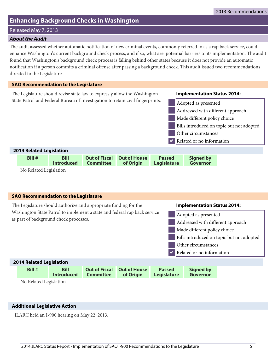## <span id="page-6-0"></span>**Enhancing Background Checks in Washington**

Released May 7, 2013

## **About the Audit**

The audit assessed whether automatic notification of new criminal events, commonly referred to as a rap back service, could enhance Washington's current background check process, and if so, what are potential barriers to its implementation. The audit found that Washington's background check process is falling behind other states because it does not provide an automatic notification if a person commits a criminal offense after passing a background check. This audit issued two recommendations directed to the Legislature.



No Related Legislation

## The Legislature should authorize and appropriate funding for the Washington State Patrol to implement a state and federal rap back service as part of background check processes. **SAO Recommendation to the Legislature** Related or no information Other circumstances Bills introduced on topic but not adopted Made different policy choice Addressed with different approach Adopted as presented  $\overline{\blacktriangledown}$ **Implementation Status 2014: Bill # Bill Out of Fiscal Out of House Passed Signed by 2014 Related Legislation Legislature** No Related Legislation

## **Additional Legislative Action**

JLARC held an I-900 hearing on May 22, 2013.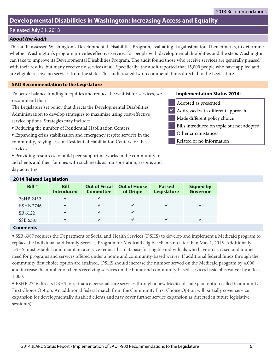## <span id="page-7-0"></span>**Developmental Disabilities in Washington: Increasing Access and Equality**

Released July 31, 2013

## **About the Audit**

This audit assessed Washington's Developmental Disabilities Program, evaluating it against national benchmarks, to determine whether Washington's program provides effective services for people with developmental disabilities and the steps Washington can take to improve its Developmental Disabilities Program. The audit found those who receive services are generally pleased with their results, but many receive no services at all. Specifically, the audit reported that 15,000 people who have applied and are eligible receive no services from the state. This audit issued two recommendations directed to the Legislature.

## **SAO Recommendation to the Legislature**

To better balance funding inequities and reduce the waitlist for services, we recommend that:

The Legislature set policy that directs the Developmental Disabilities Administration to develop strategies to maximize using cost-effective service options. Strategies may include:

- ⦁ Reducing the number of Residential Habilitation Centers.
- ⦁ Expanding crisis stabilization and emergency respite services in the community, relying less on Residential Habilitation Centers for these services.
- ⦁ Providing resources to build peer support networks in the community to aid clients and their families with such needs as transportation, respite, and day activities.

## **Implementation Status 2014:**

- Adopted as presented
- Addressed with different approach  $\blacktriangledown$
- Made different policy choice
	- Bills introduced on topic but not adopted
- Other circumstances
- Related or no information

| <b>2014 Related Legislation</b> |                                  |                                          |                                  |                              |                                     |
|---------------------------------|----------------------------------|------------------------------------------|----------------------------------|------------------------------|-------------------------------------|
| <b>Bill #</b>                   | <b>Bill</b><br><b>Introduced</b> | <b>Out of Fiscal</b><br><b>Committee</b> | <b>Out of House</b><br>of Origin | <b>Passed</b><br>Legislature | <b>Signed by</b><br><b>Governor</b> |
| 2SHB 2432                       | ✔                                | ✔                                        |                                  |                              |                                     |
| <b>ESHB 2746</b>                | ✔                                | ✔                                        | ✔                                | ✔                            | ✔                                   |
| SB 6122                         | ✔                                | $\checkmark$                             | ✔                                |                              |                                     |
| SSB 6387                        | ✔                                | ✔                                        | $\checkmark$                     | ✔                            | ✔                                   |

## **2014 Related Legislation**

## **Comments**

⦁ SSB 6387 requires the Department of Social and Health Services (DSHS) to develop and implement a Medicaid program to replace the Individual and Family Services Program for Medicaid eligible clients no later than May 1, 2015. Additionally, DSHS must establish and maintain a service request list database for eligible individuals who have an assessed and unmet need for programs and services offered under a home and community-based waiver. If additional federal funds through the community first choice option are attained, DSHS should increase the number served on the Medicaid program by 4,000 and increase the number of clients receiving services on the home and community-based services basic plus waiver by at least 1,000.

⦁ ESHB 2746 directs DSHS to refinance personal care services through a new Medicaid state plan option called Community First Choice Option. An additional federal match from the Community First Choice Option will partially cover service expansion for developmentally disabled clients and may cover further service expansion as directed in future legislative session(s).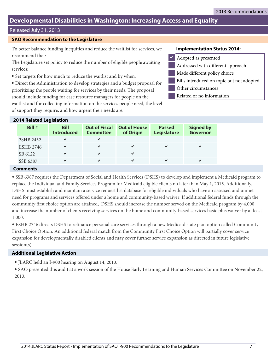## **Developmental Disabilities in Washington: Increasing Access and Equality**

## Released July 31, 2013

#### **SAO Recommendation to the Legislature**

To better balance funding inequities and reduce the waitlist for services, we recommend that:

The Legislature set policy to reduce the number of eligible people awaiting services:

⦁ Set targets for how much to reduce the waitlist and by when.

⦁ Direct the Administration to develop strategies and a budget proposal for prioritizing the people waiting for services by their needs. The proposal should include funding for case resource managers for people on the waitlist and for collecting information on the services people need, the level of support they require, and how urgent their needs are.

#### **Implementation Status 2014:**

- Adopted as presented
- Addressed with different approach
- Made different policy choice
- Bills introduced on topic but not adopted
- Other circumstances
	- Related or no information

| <b>2014 Related Legislation</b> |                                  |                                          |                                  |                              |                                     |
|---------------------------------|----------------------------------|------------------------------------------|----------------------------------|------------------------------|-------------------------------------|
| Bill #                          | <b>Bill</b><br><b>Introduced</b> | <b>Out of Fiscal</b><br><b>Committee</b> | <b>Out of House</b><br>of Origin | <b>Passed</b><br>Legislature | <b>Signed by</b><br><b>Governor</b> |
| 2SHB 2432                       | ✔                                | ✔                                        |                                  |                              |                                     |
| <b>ESHB 2746</b>                | ✔                                | ✔                                        | ✔                                | ✔                            | ✔                                   |
| SB 6122                         | ✔                                | ✔                                        | $\checkmark$                     |                              |                                     |
| SSB 6387                        | ✔                                | ✔                                        | ✔                                | ✔                            | ✔                                   |

#### **Comments**

⦁ SSB 6387 requires the Department of Social and Health Services (DSHS) to develop and implement a Medicaid program to replace the Individual and Family Services Program for Medicaid eligible clients no later than May 1, 2015. Additionally, DSHS must establish and maintain a service request list database for eligible individuals who have an assessed and unmet need for programs and services offered under a home and community-based waiver. If additional federal funds through the community first choice option are attained, DSHS should increase the number served on the Medicaid program by 4,000 and increase the number of clients receiving services on the home and community-based services basic plus waiver by at least 1,000.

⦁ ESHB 2746 directs DSHS to refinance personal care services through a new Medicaid state plan option called Community First Choice Option. An additional federal match from the Community First Choice Option will partially cover service expansion for developmentally disabled clients and may cover further service expansion as directed in future legislative session(s).

#### **Additional Legislative Action**

⦁ JLARC held an I-900 hearing on August 14, 2013.

⦁ SAO presented this audit at a work session of the House Early Learning and Human Services Committee on November 22, 2013.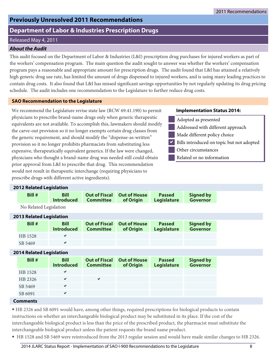## <span id="page-9-0"></span>**Previously Unresolved 2011 Recommendations**

## **Department of Labor & Industries Prescription Drugs**

## Released May 4, 2011

## **About the Audit**

This audit focused on the Department of Labor & Industries (L&I) prescription drug purchases for injured workers as part of the workers' compensation program. The main question the audit sought to answer was whether the workers' compensation program pays a reasonable and appropriate amount for prescription drugs. The audit found that L&I has attained a relatively high generic drug use rate, has limited the amount of drugs dispensed to injured workers, and is using many leading practices to contain drug costs. It also found that L&I has missed significant savings opportunities by not regularly updating its drug pricing schedule. The audit includes one recommendation to the Legislature to further reduce drug costs.

## **SAO Recommendation to the Legislature**

We recommend the Legislature revise state law (RCW 69.41.190) to permit physicians to prescribe brand-name drugs only when generic therapeutic equivalents are not available. To accomplish this, lawmakers should modify the carve-out provision so it no longer exempts certain drug classes from the generic requirement, and should modify the "dispense-as-written" provision so it no longer prohibits pharmacists from substituting less expensive, therapeutically equivalent generics. If the law were changed, physicians who thought a brand-name drug was needed still could obtain prior approval from L&I to prescribe that drug. This recommendation would not result in therapeutic interchange (requiring physicians to prescribe drugs with different active ingredients).

## **Implementation Status 2014:**

- Adopted as presented
- Addressed with different approach
- Made different policy choice
- Bills introduced on topic but not adopted  $\blacktriangledown$
- Other circumstances
- Related or no information

## **2012 Related Legislation**

| Bill #                          | <b>Bill</b><br><b>Introduced</b> | <b>Out of Fiscal</b><br><b>Committee</b> | <b>Out of House</b><br>of Origin | <b>Passed</b><br>Legislature | <b>Signed by</b><br><b>Governor</b> |
|---------------------------------|----------------------------------|------------------------------------------|----------------------------------|------------------------------|-------------------------------------|
| No Related Legislation          |                                  |                                          |                                  |                              |                                     |
| <b>2013 Related Legislation</b> |                                  |                                          |                                  |                              |                                     |
| Bill #                          | <b>Bill</b><br><b>Introduced</b> | <b>Out of Fiscal</b><br><b>Committee</b> | <b>Out of House</b><br>of Origin | <b>Passed</b><br>Legislature | <b>Signed by</b><br><b>Governor</b> |
| HB 1528                         | ✔                                |                                          |                                  |                              |                                     |
| SB 5469                         | $\checkmark$                     |                                          |                                  |                              |                                     |
| <b>2014 Related Legislation</b> |                                  |                                          |                                  |                              |                                     |
| Bill #                          | <b>Bill</b><br><b>Introduced</b> | <b>Out of Fiscal</b><br><b>Committee</b> | <b>Out of House</b><br>of Origin | <b>Passed</b><br>Legislature | <b>Signed by</b><br><b>Governor</b> |
| HB 1528                         | ✔                                |                                          |                                  |                              |                                     |
| HB 2326                         | $\checkmark$                     | $\checkmark$                             |                                  |                              |                                     |
| SB 5469                         | $\checkmark$                     |                                          |                                  |                              |                                     |
| SB 6091                         | $\checkmark$                     |                                          |                                  |                              |                                     |

## **Comments**

⦁ HB 2326 and SB 6091 would have, among other things, required prescriptions for biological products to contain instructions on whether an interchangeable biological product may be substituted in its place. If the cost of the interchangeable biological product is less than the price of the prescribed product, the pharmacist must substitute the interchangeable biological product unless the patient requests the brand name product.

⦁ HB 1528 and SB 5469 were reintroduced from the 2013 regular session and would have made similar changes to HB 2326.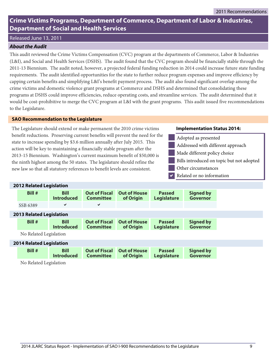## <span id="page-10-0"></span>Released June 13, 2011

## **About the Audit**

This audit reviewed the Crime Victims Compensation (CVC) program at the departments of Commerce, Labor & Industries (L&I), and Social and Health Services (DSHS). The audit found that the CVC program should be financially stable through the 2011-13 Biennium. The audit noted, however, a projected federal funding reduction in 2014 could increase future state funding requirements. The audit identified opportunities for the state to further reduce program expenses and improve efficiency by capping certain benefits and simplifying L&I's benefit payment process. The audit also found significant overlap among the crime victims and domestic violence grant programs at Commerce and DSHS and determined that consolidating these programs at DSHS could improve efficiencies, reduce operating costs, and streamline services. The audit determined that it would be cost-prohibitive to merge the CVC program at L&I with the grant programs. This audit issued five recommendations to the Legislature.

#### **SAO Recommendation to the Legislature**

The Legislature should extend or make permanent the 2010 crime victims benefit reductions. Preserving current benefits will prevent the need for the state to increase spending by \$3.6 million annually after July 2015. This action will be key to maintaining a financially stable program after the 2013-15 Biennium. Washington's current maximum benefit of \$50,000 is the ninth highest among the 50 states. The legislature should refine the new law so that all statutory references to benefit levels are consistent.

#### **Implementation Status 2014:**



- Made different policy choice
- Bills introduced on topic but not adopted
- Other circumstances
- Related or no information  $\blacktriangledown$

| <b>2012 Related Legislation</b> |                                 |                                  |                                          |                                  |                              |                                     |  |  |
|---------------------------------|---------------------------------|----------------------------------|------------------------------------------|----------------------------------|------------------------------|-------------------------------------|--|--|
|                                 | Bill #                          | <b>Bill</b><br><b>Introduced</b> | <b>Out of Fiscal</b><br><b>Committee</b> | <b>Out of House</b><br>of Origin | <b>Passed</b><br>Legislature | <b>Signed by</b><br><b>Governor</b> |  |  |
|                                 | SSB 6389                        | ✔                                | ✔                                        |                                  |                              |                                     |  |  |
|                                 | <b>2013 Related Legislation</b> |                                  |                                          |                                  |                              |                                     |  |  |
|                                 | Bill #                          | <b>Bill</b><br><b>Introduced</b> | <b>Out of Fiscal</b><br><b>Committee</b> | <b>Out of House</b><br>of Origin | <b>Passed</b><br>Legislature | <b>Signed by</b><br><b>Governor</b> |  |  |
|                                 | No Related Legislation          |                                  |                                          |                                  |                              |                                     |  |  |
|                                 | <b>2014 Related Legislation</b> |                                  |                                          |                                  |                              |                                     |  |  |
|                                 |                                 |                                  |                                          |                                  |                              |                                     |  |  |

No Related Legislation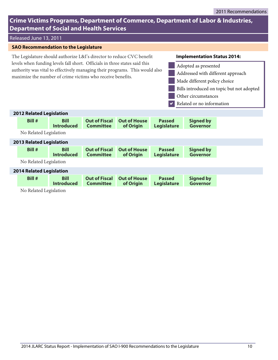## Released June 13, 2011

## **SAO Recommendation to the Legislature**

The Legislature should authorize L&I's director to reduce CVC benefit levels when funding levels fall short. Officials in three states said this authority was vital to effectively managing their programs. This would also maximize the number of crime victims who receive benefits.

- Adopted as presented
- Addressed with different approach
- Made different policy choice
- Bills introduced on topic but not adopted
- Other circumstances
- Related or no information  $\overline{\blacktriangledown}$

| <b>2012 Related Legislation</b> |                                  |                                          |                                  |                                     |                                     |  |  |
|---------------------------------|----------------------------------|------------------------------------------|----------------------------------|-------------------------------------|-------------------------------------|--|--|
| <b>Bill #</b>                   | <b>Bill</b><br><b>Introduced</b> | <b>Out of Fiscal</b><br><b>Committee</b> | <b>Out of House</b><br>of Origin | <b>Passed</b><br><b>Legislature</b> | <b>Signed by</b><br><b>Governor</b> |  |  |
| No Related Legislation          |                                  |                                          |                                  |                                     |                                     |  |  |
| <b>2013 Related Legislation</b> |                                  |                                          |                                  |                                     |                                     |  |  |
| <b>Bill #</b>                   | <b>Bill</b><br><b>Introduced</b> | <b>Out of Fiscal</b><br><b>Committee</b> | <b>Out of House</b><br>of Origin | <b>Passed</b><br><b>Legislature</b> | <b>Signed by</b><br><b>Governor</b> |  |  |
| No Related Legislation          |                                  |                                          |                                  |                                     |                                     |  |  |
| <b>2014 Related Legislation</b> |                                  |                                          |                                  |                                     |                                     |  |  |
| <b>Bill #</b>                   | <b>Bill</b><br><b>Introduced</b> | <b>Out of Fiscal</b><br><b>Committee</b> | <b>Out of House</b><br>of Origin | <b>Passed</b><br><b>Legislature</b> | <b>Signed by</b><br><b>Governor</b> |  |  |
| No Related Legislation          |                                  |                                          |                                  |                                     |                                     |  |  |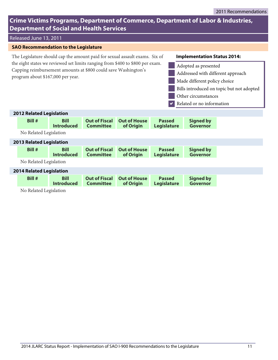## Released June 13, 2011

## **SAO Recommendation to the Legislature**

The Legislature should cap the amount paid for sexual assault exams. Six of the eight states we reviewed set limits ranging from \$400 to \$800 per exam. Capping reimbursement amounts at \$800 could save Washington's program about \$167,000 per year.

- Adopted as presented
- Addressed with different approach
- Made different policy choice
- Bills introduced on topic but not adopted
- Other circumstances
- Related or no information  $\overline{\blacktriangledown}$

| <b>2012 Related Legislation</b> |                                  |                                          |                                  |                                     |                              |  |
|---------------------------------|----------------------------------|------------------------------------------|----------------------------------|-------------------------------------|------------------------------|--|
| Bill #                          | <b>Bill</b><br><b>Introduced</b> | <b>Out of Fiscal</b><br><b>Committee</b> | <b>Out of House</b><br>of Origin | <b>Passed</b><br>Legislature        | <b>Signed by</b><br>Governor |  |
| No Related Legislation          |                                  |                                          |                                  |                                     |                              |  |
| <b>2013 Related Legislation</b> |                                  |                                          |                                  |                                     |                              |  |
| Bill #                          | <b>Bill</b><br><b>Introduced</b> | <b>Out of Fiscal</b><br><b>Committee</b> | <b>Out of House</b><br>of Origin | <b>Passed</b><br><b>Legislature</b> | <b>Signed by</b><br>Governor |  |
| No Related Legislation          |                                  |                                          |                                  |                                     |                              |  |
| <b>2014 Related Legislation</b> |                                  |                                          |                                  |                                     |                              |  |
| Bill #                          | <b>Bill</b><br><b>Introduced</b> | <b>Out of Fiscal</b><br><b>Committee</b> | <b>Out of House</b><br>of Origin | <b>Passed</b><br><b>Legislature</b> | <b>Signed by</b><br>Governor |  |
| No Related Legislation          |                                  |                                          |                                  |                                     |                              |  |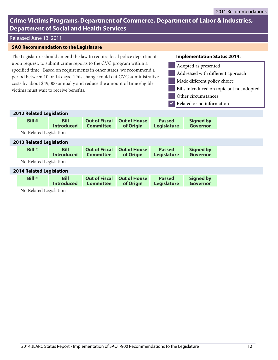## Released June 13, 2011

## **SAO Recommendation to the Legislature**

The Legislature should amend the law to require local police departments, upon request, to submit crime reports to the CVC program within a specified time. Based on requirements in other states, we recommend a period between 10 or 14 days. This change could cut CVC administrative costs by about \$49,000 annually and reduce the amount of time eligible victims must wait to receive benefits.

- Adopted as presented
- Addressed with different approach
- Made different policy choice
- Bills introduced on topic but not adopted
- Other circumstances
- Related or no information  $\overline{\blacktriangledown}$

| <b>2012 Related Legislation</b> |                                  |                                          |                                  |                                     |                                     |  |
|---------------------------------|----------------------------------|------------------------------------------|----------------------------------|-------------------------------------|-------------------------------------|--|
| Bill #                          | <b>Bill</b><br><b>Introduced</b> | <b>Out of Fiscal</b><br><b>Committee</b> | <b>Out of House</b><br>of Origin | <b>Passed</b><br><b>Legislature</b> | <b>Signed by</b><br><b>Governor</b> |  |
| No Related Legislation          |                                  |                                          |                                  |                                     |                                     |  |
| <b>2013 Related Legislation</b> |                                  |                                          |                                  |                                     |                                     |  |
| Bill#                           | <b>Bill</b><br><b>Introduced</b> | <b>Out of Fiscal</b><br><b>Committee</b> | <b>Out of House</b><br>of Origin | <b>Passed</b><br><b>Legislature</b> | <b>Signed by</b><br>Governor        |  |
| No Related Legislation          |                                  |                                          |                                  |                                     |                                     |  |
| <b>2014 Related Legislation</b> |                                  |                                          |                                  |                                     |                                     |  |
| Bill #                          | <b>Bill</b><br><b>Introduced</b> | <b>Out of Fiscal</b><br><b>Committee</b> | <b>Out of House</b><br>of Origin | <b>Passed</b><br><b>Legislature</b> | <b>Signed by</b><br><b>Governor</b> |  |
| No Related Legislation          |                                  |                                          |                                  |                                     |                                     |  |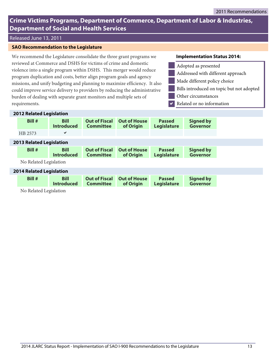## Released June 13, 2011

## **SAO Recommendation to the Legislature**

We recommend the Legislature consolidate the three grant programs we reviewed at Commerce and DSHS for victims of crime and domestic violence into a single program within DSHS. This merger would reduce program duplication and costs, better align program goals and agency missions, and unify budgeting and planning to maximize efficiency. It also could improve service delivery to providers by reducing the administrative burden of dealing with separate grant monitors and multiple sets of requirements.

- Adopted as presented
- Addressed with different approach
- Made different policy choice
- Bills introduced on topic but not adopted
- Other circumstances
- Related or no information  $\overline{\blacktriangledown}$

|                                 | <b>2012 Related Legislation</b> |                                  |                                          |                                  |                                     |                                     |
|---------------------------------|---------------------------------|----------------------------------|------------------------------------------|----------------------------------|-------------------------------------|-------------------------------------|
|                                 | Bill #                          | <b>Bill</b><br><b>Introduced</b> | <b>Out of Fiscal</b><br><b>Committee</b> | <b>Out of House</b><br>of Origin | <b>Passed</b><br>Legislature        | <b>Signed by</b><br><b>Governor</b> |
|                                 | HB 2573                         | ✔                                |                                          |                                  |                                     |                                     |
| <b>2013 Related Legislation</b> |                                 |                                  |                                          |                                  |                                     |                                     |
|                                 | Bill #                          | <b>Bill</b><br><b>Introduced</b> | <b>Out of Fiscal</b><br><b>Committee</b> | <b>Out of House</b><br>of Origin | <b>Passed</b><br><b>Legislature</b> | <b>Signed by</b><br><b>Governor</b> |
|                                 | No Related Legislation          |                                  |                                          |                                  |                                     |                                     |
| <b>2014 Related Legislation</b> |                                 |                                  |                                          |                                  |                                     |                                     |
|                                 | Bill #                          | <b>Bill</b><br><b>Introduced</b> | <b>Out of Fiscal</b><br><b>Committee</b> | <b>Out of House</b><br>of Origin | <b>Passed</b><br>Legislature        | <b>Signed by</b><br><b>Governor</b> |
|                                 | No Related Legislation          |                                  |                                          |                                  |                                     |                                     |